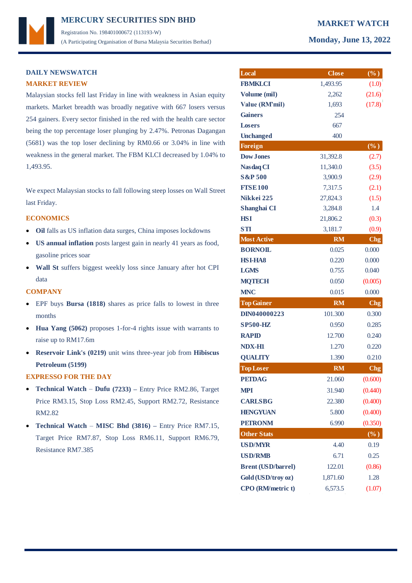## **MERCURY MARKET WATCH SECURITIES SDN BHD**  Registration No. 198401000672 (113193-W) (A Participating Organisation of Bursa Malaysia Securities Berhad) **Monday, June 13, 2022**

### **DAILY NEWSWATCH MARKET REVIEW**

Malaysian stocks fell last Friday in line with weakness in Asian equity markets. Market breadth was broadly negative with 667 losers versus 254 gainers. Every sector finished in the red with the health care sector being the top percentage loser plunging by 2.47%. Petronas Dagangan (5681) was the top loser declining by RM0.66 or 3.04% in line with weakness in the general market. The FBM KLCI decreased by 1.04% to 1,493.95.

We expect Malaysian stocks to fall following steep losses on Wall Street last Friday.

### **ECONOMICS**

- **Oil** falls as US inflation data surges, China imposes lockdowns
- **US annual inflation** posts largest gain in nearly 41 years as food, gasoline prices soar
- **Wall St** suffers biggest weekly loss since January after hot CPI data

### **COMPANY**

- EPF buys **Bursa (1818)** shares as price falls to lowest in three months
- **Hua Yang (5062)** proposes 1-for-4 rights issue with warrants to raise up to RM17.6m
- **Reservoir Link's (0219)** unit wins three-year job from **Hibiscus Petroleum (5199)**

### **EXPRESSO FOR THE DAY**

- **Technical Watch Dufu (7233) –** Entry Price RM2.86, Target Price RM3.15, Stop Loss RM2.45, Support RM2.72, Resistance RM2.82
- **Technical Watch MISC Bhd (3816) –** Entry Price RM7.15, Target Price RM7.87, Stop Loss RM6.11, Support RM6.79, Resistance RM7.385

| Local<br><b>Close</b><br>$(\%)$<br><b>FBMKLCI</b><br>1,493.95<br>(1.0)<br>(21.6)<br>Volume (mil)<br>2,262<br>(17.8)<br>Value (RM'mil)<br>1,693<br><b>Gainers</b><br>254<br>667<br><b>Losers</b><br>400<br><b>Unchanged</b><br><b>Foreign</b><br>$(\%)$<br><b>Dow Jones</b><br>(2.7)<br>31,392.8<br><b>Nasdaq CI</b><br>11,340.0<br>(3.5)<br><b>S&amp;P 500</b><br>3,900.9<br>(2.9)<br><b>FTSE100</b><br>7,317.5<br>(2.1)<br>Nikkei 225<br>27,824.3<br>(1.5)<br>Shanghai CI<br>3,284.8<br>1.4<br><b>HSI</b><br>21,806.2<br>(0.3)<br><b>STI</b><br>(0.9)<br>3,181.7<br><b>Most Active</b><br><b>RM</b><br>C <sub>ng</sub><br>0.000<br><b>BORNOIL</b><br>0.025<br><b>HSI-HA8</b><br>0.220<br>0.000<br><b>LGMS</b><br>0.755<br>0.040<br><b>MQTECH</b><br>0.050<br>(0.005)<br><b>MNC</b><br>0.015<br>0.000<br><b>RM</b><br><b>Top Gainer</b><br><b>Chg</b><br>DIN040000223<br>101.300<br>0.300<br><b>SP500-HZ</b><br>0.950<br>0.285<br>12.700<br><b>RAPID</b><br>0.240<br><b>NDX-H1</b><br>1.270<br>0.220<br><b>QUALITY</b><br>1.390<br>0.210<br><b>Top Loser</b><br><b>RM</b><br><b>Chg</b><br><b>PETDAG</b><br>21.060<br>(0.600)<br>(0.440)<br><b>MPI</b><br>31.940<br><b>CARLSBG</b><br>(0.400)<br>22.380<br><b>HENGYUAN</b><br>5.800<br>(0.400)<br><b>PETRONM</b><br>6.990<br>(0.350)<br><b>Other Stats</b><br>$(\%)$<br><b>USD/MYR</b><br>4.40<br>0.19<br><b>USD/RMB</b><br>6.71<br>0.25<br><b>Brent (USD/barrel)</b><br>122.01<br>(0.86) |  |  |
|-------------------------------------------------------------------------------------------------------------------------------------------------------------------------------------------------------------------------------------------------------------------------------------------------------------------------------------------------------------------------------------------------------------------------------------------------------------------------------------------------------------------------------------------------------------------------------------------------------------------------------------------------------------------------------------------------------------------------------------------------------------------------------------------------------------------------------------------------------------------------------------------------------------------------------------------------------------------------------------------------------------------------------------------------------------------------------------------------------------------------------------------------------------------------------------------------------------------------------------------------------------------------------------------------------------------------------------------------------------------------------------------------------------------------------------------|--|--|
|                                                                                                                                                                                                                                                                                                                                                                                                                                                                                                                                                                                                                                                                                                                                                                                                                                                                                                                                                                                                                                                                                                                                                                                                                                                                                                                                                                                                                                           |  |  |
|                                                                                                                                                                                                                                                                                                                                                                                                                                                                                                                                                                                                                                                                                                                                                                                                                                                                                                                                                                                                                                                                                                                                                                                                                                                                                                                                                                                                                                           |  |  |
|                                                                                                                                                                                                                                                                                                                                                                                                                                                                                                                                                                                                                                                                                                                                                                                                                                                                                                                                                                                                                                                                                                                                                                                                                                                                                                                                                                                                                                           |  |  |
|                                                                                                                                                                                                                                                                                                                                                                                                                                                                                                                                                                                                                                                                                                                                                                                                                                                                                                                                                                                                                                                                                                                                                                                                                                                                                                                                                                                                                                           |  |  |
|                                                                                                                                                                                                                                                                                                                                                                                                                                                                                                                                                                                                                                                                                                                                                                                                                                                                                                                                                                                                                                                                                                                                                                                                                                                                                                                                                                                                                                           |  |  |
|                                                                                                                                                                                                                                                                                                                                                                                                                                                                                                                                                                                                                                                                                                                                                                                                                                                                                                                                                                                                                                                                                                                                                                                                                                                                                                                                                                                                                                           |  |  |
|                                                                                                                                                                                                                                                                                                                                                                                                                                                                                                                                                                                                                                                                                                                                                                                                                                                                                                                                                                                                                                                                                                                                                                                                                                                                                                                                                                                                                                           |  |  |
|                                                                                                                                                                                                                                                                                                                                                                                                                                                                                                                                                                                                                                                                                                                                                                                                                                                                                                                                                                                                                                                                                                                                                                                                                                                                                                                                                                                                                                           |  |  |
|                                                                                                                                                                                                                                                                                                                                                                                                                                                                                                                                                                                                                                                                                                                                                                                                                                                                                                                                                                                                                                                                                                                                                                                                                                                                                                                                                                                                                                           |  |  |
|                                                                                                                                                                                                                                                                                                                                                                                                                                                                                                                                                                                                                                                                                                                                                                                                                                                                                                                                                                                                                                                                                                                                                                                                                                                                                                                                                                                                                                           |  |  |
|                                                                                                                                                                                                                                                                                                                                                                                                                                                                                                                                                                                                                                                                                                                                                                                                                                                                                                                                                                                                                                                                                                                                                                                                                                                                                                                                                                                                                                           |  |  |
|                                                                                                                                                                                                                                                                                                                                                                                                                                                                                                                                                                                                                                                                                                                                                                                                                                                                                                                                                                                                                                                                                                                                                                                                                                                                                                                                                                                                                                           |  |  |
|                                                                                                                                                                                                                                                                                                                                                                                                                                                                                                                                                                                                                                                                                                                                                                                                                                                                                                                                                                                                                                                                                                                                                                                                                                                                                                                                                                                                                                           |  |  |
|                                                                                                                                                                                                                                                                                                                                                                                                                                                                                                                                                                                                                                                                                                                                                                                                                                                                                                                                                                                                                                                                                                                                                                                                                                                                                                                                                                                                                                           |  |  |
|                                                                                                                                                                                                                                                                                                                                                                                                                                                                                                                                                                                                                                                                                                                                                                                                                                                                                                                                                                                                                                                                                                                                                                                                                                                                                                                                                                                                                                           |  |  |
|                                                                                                                                                                                                                                                                                                                                                                                                                                                                                                                                                                                                                                                                                                                                                                                                                                                                                                                                                                                                                                                                                                                                                                                                                                                                                                                                                                                                                                           |  |  |
|                                                                                                                                                                                                                                                                                                                                                                                                                                                                                                                                                                                                                                                                                                                                                                                                                                                                                                                                                                                                                                                                                                                                                                                                                                                                                                                                                                                                                                           |  |  |
|                                                                                                                                                                                                                                                                                                                                                                                                                                                                                                                                                                                                                                                                                                                                                                                                                                                                                                                                                                                                                                                                                                                                                                                                                                                                                                                                                                                                                                           |  |  |
|                                                                                                                                                                                                                                                                                                                                                                                                                                                                                                                                                                                                                                                                                                                                                                                                                                                                                                                                                                                                                                                                                                                                                                                                                                                                                                                                                                                                                                           |  |  |
|                                                                                                                                                                                                                                                                                                                                                                                                                                                                                                                                                                                                                                                                                                                                                                                                                                                                                                                                                                                                                                                                                                                                                                                                                                                                                                                                                                                                                                           |  |  |
|                                                                                                                                                                                                                                                                                                                                                                                                                                                                                                                                                                                                                                                                                                                                                                                                                                                                                                                                                                                                                                                                                                                                                                                                                                                                                                                                                                                                                                           |  |  |
|                                                                                                                                                                                                                                                                                                                                                                                                                                                                                                                                                                                                                                                                                                                                                                                                                                                                                                                                                                                                                                                                                                                                                                                                                                                                                                                                                                                                                                           |  |  |
|                                                                                                                                                                                                                                                                                                                                                                                                                                                                                                                                                                                                                                                                                                                                                                                                                                                                                                                                                                                                                                                                                                                                                                                                                                                                                                                                                                                                                                           |  |  |
|                                                                                                                                                                                                                                                                                                                                                                                                                                                                                                                                                                                                                                                                                                                                                                                                                                                                                                                                                                                                                                                                                                                                                                                                                                                                                                                                                                                                                                           |  |  |
|                                                                                                                                                                                                                                                                                                                                                                                                                                                                                                                                                                                                                                                                                                                                                                                                                                                                                                                                                                                                                                                                                                                                                                                                                                                                                                                                                                                                                                           |  |  |
|                                                                                                                                                                                                                                                                                                                                                                                                                                                                                                                                                                                                                                                                                                                                                                                                                                                                                                                                                                                                                                                                                                                                                                                                                                                                                                                                                                                                                                           |  |  |
|                                                                                                                                                                                                                                                                                                                                                                                                                                                                                                                                                                                                                                                                                                                                                                                                                                                                                                                                                                                                                                                                                                                                                                                                                                                                                                                                                                                                                                           |  |  |
|                                                                                                                                                                                                                                                                                                                                                                                                                                                                                                                                                                                                                                                                                                                                                                                                                                                                                                                                                                                                                                                                                                                                                                                                                                                                                                                                                                                                                                           |  |  |
|                                                                                                                                                                                                                                                                                                                                                                                                                                                                                                                                                                                                                                                                                                                                                                                                                                                                                                                                                                                                                                                                                                                                                                                                                                                                                                                                                                                                                                           |  |  |
|                                                                                                                                                                                                                                                                                                                                                                                                                                                                                                                                                                                                                                                                                                                                                                                                                                                                                                                                                                                                                                                                                                                                                                                                                                                                                                                                                                                                                                           |  |  |
|                                                                                                                                                                                                                                                                                                                                                                                                                                                                                                                                                                                                                                                                                                                                                                                                                                                                                                                                                                                                                                                                                                                                                                                                                                                                                                                                                                                                                                           |  |  |
|                                                                                                                                                                                                                                                                                                                                                                                                                                                                                                                                                                                                                                                                                                                                                                                                                                                                                                                                                                                                                                                                                                                                                                                                                                                                                                                                                                                                                                           |  |  |
|                                                                                                                                                                                                                                                                                                                                                                                                                                                                                                                                                                                                                                                                                                                                                                                                                                                                                                                                                                                                                                                                                                                                                                                                                                                                                                                                                                                                                                           |  |  |
|                                                                                                                                                                                                                                                                                                                                                                                                                                                                                                                                                                                                                                                                                                                                                                                                                                                                                                                                                                                                                                                                                                                                                                                                                                                                                                                                                                                                                                           |  |  |
|                                                                                                                                                                                                                                                                                                                                                                                                                                                                                                                                                                                                                                                                                                                                                                                                                                                                                                                                                                                                                                                                                                                                                                                                                                                                                                                                                                                                                                           |  |  |
|                                                                                                                                                                                                                                                                                                                                                                                                                                                                                                                                                                                                                                                                                                                                                                                                                                                                                                                                                                                                                                                                                                                                                                                                                                                                                                                                                                                                                                           |  |  |
|                                                                                                                                                                                                                                                                                                                                                                                                                                                                                                                                                                                                                                                                                                                                                                                                                                                                                                                                                                                                                                                                                                                                                                                                                                                                                                                                                                                                                                           |  |  |
|                                                                                                                                                                                                                                                                                                                                                                                                                                                                                                                                                                                                                                                                                                                                                                                                                                                                                                                                                                                                                                                                                                                                                                                                                                                                                                                                                                                                                                           |  |  |
| Gold (USD/troy oz)<br>1.28<br>1,871.60                                                                                                                                                                                                                                                                                                                                                                                                                                                                                                                                                                                                                                                                                                                                                                                                                                                                                                                                                                                                                                                                                                                                                                                                                                                                                                                                                                                                    |  |  |
| CPO (RM/metric t)<br>6,573.5<br>(1.07)                                                                                                                                                                                                                                                                                                                                                                                                                                                                                                                                                                                                                                                                                                                                                                                                                                                                                                                                                                                                                                                                                                                                                                                                                                                                                                                                                                                                    |  |  |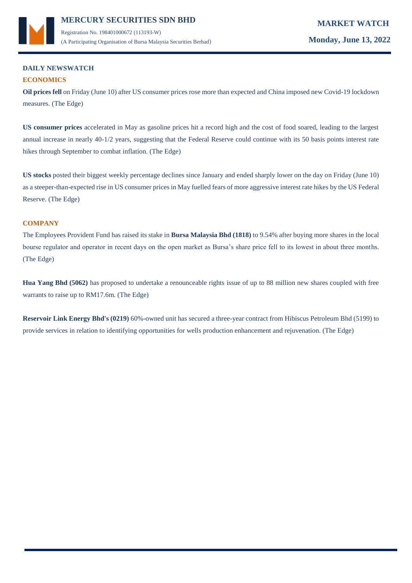

Registration No. 198401000672 (113193-W) (A Participating Organisation of Bursa Malaysia Securities Berhad) **Monday, June 13, 2022**

### **DAILY NEWSWATCH ECONOMICS**

**Oil prices fell** on Friday (June 10) after US consumer prices rose more than expected and China imposed new Covid-19 lockdown measures. (The Edge)

**US consumer prices** accelerated in May as gasoline prices hit a record high and the cost of food soared, leading to the largest annual increase in nearly 40-1/2 years, suggesting that the Federal Reserve could continue with its 50 basis points interest rate hikes through September to combat inflation. (The Edge)

**US stocks** posted their biggest weekly percentage declines since January and ended sharply lower on the day on Friday (June 10) as a steeper-than-expected rise in US consumer prices in May fuelled fears of more aggressive interest rate hikes by the US Federal Reserve. (The Edge)

### **COMPANY**

The Employees Provident Fund has raised its stake in **Bursa Malaysia Bhd (1818)** to 9.54% after buying more shares in the local bourse regulator and operator in recent days on the open market as Bursa's share price fell to its lowest in about three months. (The Edge)

**Hua Yang Bhd (5062)** has proposed to undertake a renounceable rights issue of up to 88 million new shares coupled with free warrants to raise up to RM17.6m. (The Edge)

**Reservoir Link Energy Bhd's (0219)** 60%-owned unit has secured a three-year contract from Hibiscus Petroleum Bhd (5199) to provide services in relation to identifying opportunities for wells production enhancement and rejuvenation. (The Edge)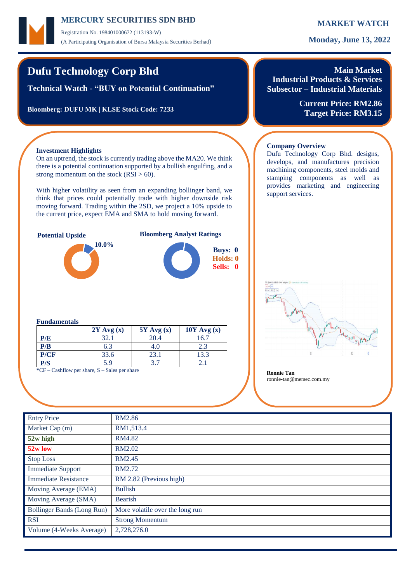Registration No. 198401000672 (113193-W) (A Participating Organisation of Bursa Malaysia Securities Berhad) **Monday, June 13, 2022**

# **Dufu Technology Corp Bhd**

**Technical Watch - "BUY on Potential Continuation"**

**Bloomberg: DUFU MK | KLSE Stock Code: 7233**

### **Main Market Industrial Products & Services Subsector – Industrial Materials**

Dufu Technology Corp Bhd. designs, develops, and manufactures precision machining components, steel molds and stamping components as well as provides marketing and engineering

**Current Price: RM2.86 Target Price: RM3.15**

### **Investment Highlights**

On an uptrend, the stock is currently trading above the MA20. We think there is a potential continuation supported by a bullish engulfing, and a strong momentum on the stock  $(RSI > 60)$ .

With higher volatility as seen from an expanding bollinger band, we think that prices could potentially trade with higher downside risk moving forward. Trading within the 2SD, we project a 10% upside to the current price, expect EMA and SMA to hold moving forward.





### **Fundamentals**

|                                                                                 | $2Y$ Avg $(x)$ | $5Y$ Avg $(x)$ | $10Y$ Avg $(x)$ |  |  |  |
|---------------------------------------------------------------------------------|----------------|----------------|-----------------|--|--|--|
| P/E                                                                             | 32.1           | 20.4           | 16.7            |  |  |  |
| P/B                                                                             | 6.3            | 4.0            | 2.3             |  |  |  |
| P/CF                                                                            | 33.6           | 23.1           | 13.3            |  |  |  |
| P/S                                                                             | 5.9            |                |                 |  |  |  |
| $C_{\rm F}$ $C_{\rm coh}$ flow non choice $C_{\rm o}$ $C_{\rm oloc}$ non choice |                |                |                 |  |  |  |

**Example 1 Example 1 Ronnie Tan Ronnie Tan Ronnie Tan** 

ronnie-tan@mersec.com.my

**Company Overview**

support services.

| <b>Entry Price</b>                | RM2.86                          |
|-----------------------------------|---------------------------------|
| Market Cap (m)                    | RM1,513.4                       |
| 52w high                          | RM4.82                          |
| $52w$ low                         | RM2.02                          |
| <b>Stop Loss</b>                  | RM2.45                          |
| <b>Immediate Support</b>          | RM2.72                          |
| <b>Immediate Resistance</b>       | RM 2.82 (Previous high)         |
| Moving Average (EMA)              | <b>Bullish</b>                  |
| Moving Average (SMA)              | Bearish                         |
| <b>Bollinger Bands (Long Run)</b> | More volatile over the long run |
| <b>RSI</b>                        | <b>Strong Momentum</b>          |
| Volume (4-Weeks Average)          | 2,728,276.0                     |
|                                   |                                 |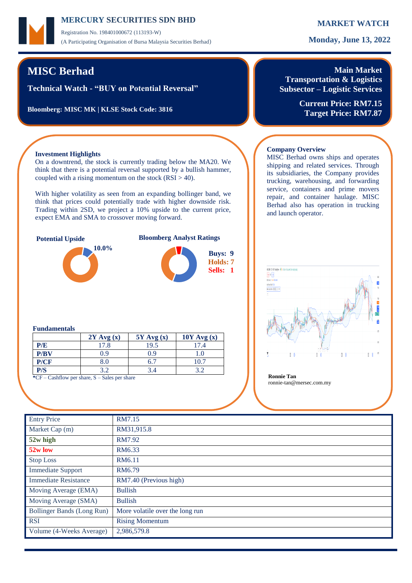Registration No. 198401000672 (113193-W) (A Participating Organisation of Bursa Malaysia Securities Berhad) **Monday, June 13, 2022**

# **MISC Berhad**

**Technical Watch - "BUY on Potential Reversal"**

**Bloomberg: MISC MK | KLSE Stock Code: 3816**

## **Main Market**

**Transportation & Logistics Subsector – Logistic Services**

> **Current Price: RM7.15 Target Price: RM7.87**

### **Investment Highlights**

On a downtrend, the stock is currently trading below the MA20. We think that there is a potential reversal supported by a bullish hammer, coupled with a rising momentum on the stock  $(RSI > 40)$ .

With higher volatility as seen from an expanding bollinger band, we think that prices could potentially trade with higher downside risk. Trading within 2SD, we project a 10% upside to the current price, expect EMA and SMA to crossover moving forward.



### **Company Overview**

MISC Berhad owns ships and operates shipping and related services. Through its subsidiaries, the Company provides trucking, warehousing, and forwarding service, containers and prime movers repair, and container haulage. MISC Berhad also has operation in trucking and launch operator.



# **Fundamentals**

|      | $2Y$ Avg $(x)$ | $5Y$ Avg $(x)$ | $10Y$ Avg $(x)$ |
|------|----------------|----------------|-----------------|
| P/E  | 17.8           | 19.5           | 17.4            |
| P/BV | 0.9            | 0.9            | $1.0\,$         |
| P/CF | 8.0            | 6.7            | 10.7            |
| P/S  | 30             | 3.4            | 30              |

**\***CF – Cashflow per share, S – Sales per share **Ronnie Tan**

ronnie-tan@mersec.com.my

| <b>Entry Price</b>          | RM7.15                          |
|-----------------------------|---------------------------------|
| Market Cap (m)              | RM31,915.8                      |
| 52w high                    | <b>RM7.92</b>                   |
| 52w low                     | RM6.33                          |
| <b>Stop Loss</b>            | RM6.11                          |
| <b>Immediate Support</b>    | RM6.79                          |
| <b>Immediate Resistance</b> | RM7.40 (Previous high)          |
| Moving Average (EMA)        | <b>Bullish</b>                  |
| Moving Average (SMA)        | <b>Bullish</b>                  |
| Bollinger Bands (Long Run)  | More volatile over the long run |
| <b>RSI</b>                  | <b>Rising Momentum</b>          |
| Volume (4-Weeks Average)    | 2,986,579.8                     |
|                             |                                 |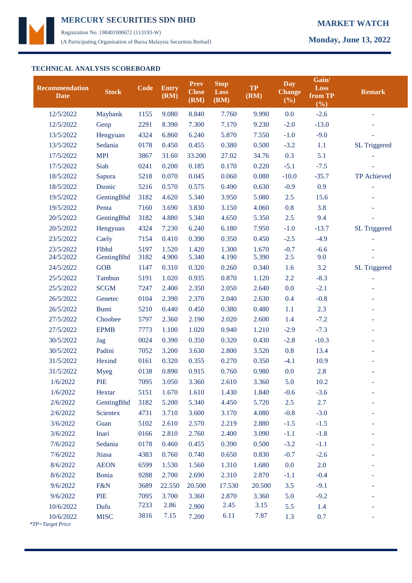

Registration No. 198401000672 (113193-W) (A Participating Organisation of Bursa Malaysia Securities Berhad) **Monday, June 13, 2022**

### **TECHNICAL ANALYSIS SCOREBOARD**

| <b>Recommendation</b><br><b>Date</b> | <b>Stock</b> | Code | Entry<br>(RM) | Prev<br><b>Close</b><br>(RM) | <b>Stop</b><br>Loss<br>(RM) | <b>TP</b><br>(RM) | <b>Day</b><br><b>Change</b><br>$(\sqrt[6]{\bullet})$ | Gain/<br><b>Loss</b><br>from TP<br>$(\frac{6}{6})$ | <b>Remark</b>       |
|--------------------------------------|--------------|------|---------------|------------------------------|-----------------------------|-------------------|------------------------------------------------------|----------------------------------------------------|---------------------|
| 12/5/2022                            | Maybank      | 1155 | 9.080         | 8.840                        | 7.760                       | 9.990             | 0.0                                                  | $-2.6$                                             | ÷.                  |
| 12/5/2022                            | Genp         | 2291 | 8.390         | 7.300                        | 7.170                       | 9.230             | $-2.0$                                               | $-13.0$                                            |                     |
| 13/5/2022                            | Hengyuan     | 4324 | 6.860         | 6.240                        | 5.870                       | 7.550             | $-1.0$                                               | $-9.0$                                             |                     |
| 13/5/2022                            | Sedania      | 0178 | 0.450         | 0.455                        | 0.380                       | 0.500             | $-3.2$                                               | 1.1                                                | <b>SL Triggered</b> |
| 17/5/2022                            | <b>MPI</b>   | 3867 | 31.60         | 33.200                       | 27.02                       | 34.76             | 0.3                                                  | 5.1                                                |                     |
| 17/5/2022                            | Siab         | 0241 | 0.200         | 0.185                        | 0.170                       | 0.220             | $-5.1$                                               | $-7.5$                                             |                     |
| 18/5/2022                            | Sapura       | 5218 | 0.070         | 0.045                        | 0.060                       | 0.080             | $-10.0$                                              | $-35.7$                                            | TP Achieved         |
| 18/5/2022                            | Dsonic       | 5216 | 0.570         | 0.575                        | 0.490                       | 0.630             | $-0.9$                                               | 0.9                                                |                     |
| 19/5/2022                            | GentingBhd   | 3182 | 4.620         | 5.340                        | 3.950                       | 5.080             | 2.5                                                  | 15.6                                               |                     |
| 19/5/2022                            | Penta        | 7160 | 3.690         | 3.830                        | 3.150                       | 4.060             | 0.8                                                  | 3.8                                                |                     |
| 20/5/2022                            | GentingBhd   | 3182 | 4.880         | 5.340                        | 4.650                       | 5.350             | 2.5                                                  | 9.4                                                |                     |
| 20/5/2022                            | Hengyuan     | 4324 | 7.230         | 6.240                        | 6.180                       | 7.950             | $-1.0$                                               | $-13.7$                                            | <b>SL Triggered</b> |
| 23/5/2022                            | Caely        | 7154 | 0.410         | 0.390                        | 0.350                       | 0.450             | $-2.5$                                               | $-4.9$                                             |                     |
| 23/5/2022                            | Flbhd        | 5197 | 1.520         | 1.420                        | 1.300                       | 1.670             | $-0.7$                                               | $-6.6$                                             |                     |
| 24/5/2022                            | GentingBhd   | 3182 | 4.900         | 5.340                        | 4.190                       | 5.390             | 2.5                                                  | 9.0                                                |                     |
| 24/5/2022                            | <b>GOB</b>   | 1147 | 0.310         | 0.320                        | 0.260                       | 0.340             | 1.6                                                  | 3.2                                                | <b>SL Triggered</b> |
| 25/5/2022                            | Tambun       | 5191 | 1.020         | 0.935                        | 0.870                       | 1.120             | 2.2                                                  | $-8.3$                                             |                     |
| 25/5/2022                            | <b>SCGM</b>  | 7247 | 2.400         | 2.350                        | 2.050                       | 2.640             | 0.0                                                  | $-2.1$                                             |                     |
| 26/5/2022                            | Genetec      | 0104 | 2.390         | 2.370                        | 2.040                       | 2.630             | 0.4                                                  | $-0.8$                                             |                     |
| 26/5/2022                            | <b>Bumi</b>  | 5210 | 0.440         | 0.450                        | 0.380                       | 0.480             | 1.1                                                  | 2.3                                                |                     |
| 27/5/2022                            | Choobee      | 5797 | 2.360         | 2.190                        | 2.020                       | 2.600             | 1.4                                                  | $-7.2$                                             |                     |
| 27/5/2022                            | <b>EPMB</b>  | 7773 | 1.100         | 1.020                        | 0.940                       | 1.210             | $-2.9$                                               | $-7.3$                                             |                     |
| 30/5/2022                            | Jag          | 0024 | 0.390         | 0.350                        | 0.320                       | 0.430             | $-2.8$                                               | $-10.3$                                            |                     |
| 30/5/2022                            | Padini       | 7052 | 3.200         | 3.630                        | 2.800                       | 3.520             | 0.8                                                  | 13.4                                               |                     |
| 31/5/2022                            | Hexind       | 0161 | 0.320         | 0.355                        | 0.270                       | 0.350             | $-4.1$                                               | 10.9                                               |                     |
| 31/5/2022                            | <b>Myeg</b>  | 0138 | 0.890         | 0.915                        | 0.760                       | 0.980             | 0.0                                                  | 2.8                                                |                     |
| 1/6/2022                             | PIE          | 7095 | 3.050         | 3.360                        | 2.610                       | 3.360             | 5.0                                                  | 10.2                                               |                     |
| 1/6/2022                             | Hextar       | 5151 | 1.670         | 1.610                        | 1.430                       | 1.840             | $-0.6$                                               | $-3.6$                                             |                     |
| 2/6/2022                             | GentingBhd   | 3182 | 5.200         | 5.340                        | 4.450                       | 5.720             | 2.5                                                  | $2.7\,$                                            |                     |
| 2/6/2022                             | Scientex     | 4731 | 3.710         | 3.600                        | 3.170                       | 4.080             | $-0.8$                                               | $-3.0$                                             |                     |
| 3/6/2022                             | Guan         | 5102 | 2.610         | 2.570                        | 2.219                       | 2.880             | $-1.5$                                               | $-1.5$                                             |                     |
| 3/6/2022                             | Inari        | 0166 | 2.810         | 2.760                        | 2.400                       | 3.090             | $-1.1$                                               | $-1.8$                                             |                     |
| 7/6/2022                             | Sedania      | 0178 | 0.460         | 0.455                        | 0.390                       | 0.500             | $-3.2$                                               | $-1.1$                                             |                     |
| 7/6/2022                             | Jtiasa       | 4383 | 0.760         | 0.740                        | 0.650                       | 0.830             | $-0.7$                                               | $-2.6$                                             |                     |
| 8/6/2022                             | <b>AEON</b>  | 6599 | 1.530         | 1.560                        | 1.310                       | 1.680             | 0.0                                                  | 2.0                                                |                     |
| 8/6/2022                             | <b>Bonia</b> | 9288 | 2.700         | 2.690                        | 2.310                       | 2.870             | $-1.1$                                               | $-0.4$                                             |                     |
| 9/6/2022                             | F&N          | 3689 | 22.550        | 20.500                       | 17.530                      | 20.500            | 3.5                                                  | $-9.1$                                             |                     |
| 9/6/2022                             | PIE          | 7095 | 3.700         | 3.360                        | 2.870                       | 3.360             | 5.0                                                  | $-9.2$                                             |                     |
| 10/6/2022                            | Dufu         | 7233 | 2.86          | 2.900                        | 2.45                        | 3.15              | 5.5                                                  | 1.4                                                |                     |
| 10/6/2022<br>*TP=Target Price        | <b>MISC</b>  | 3816 | 7.15          | 7.200                        | 6.11                        | 7.87              | 1.3                                                  | 0.7                                                |                     |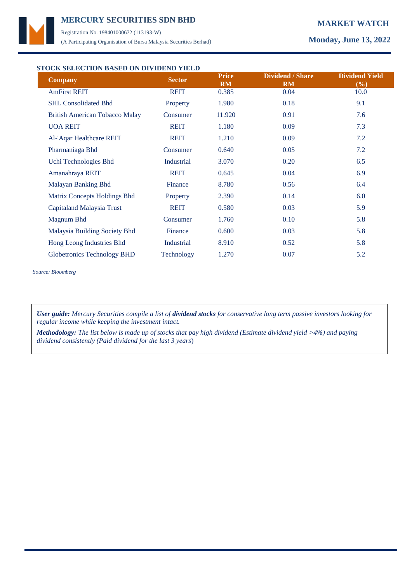

Registration No. 198401000672 (113193-W) (A Participating Organisation of Bursa Malaysia Securities Berhad) **Monday, June 13, 2022**

### **STOCK SELECTION BASED ON DIVIDEND YIELD**

| TOCK SELECTION BASED ON DIVIDEND THELD<br><b>Company</b> | <b>Sector</b> | <b>Price</b><br><b>RM</b> | <b>Dividend / Share</b><br><b>RM</b> | <b>Dividend Yield</b><br>(%) |
|----------------------------------------------------------|---------------|---------------------------|--------------------------------------|------------------------------|
| <b>AmFirst REIT</b>                                      | <b>REIT</b>   | 0.385                     | 0.04                                 | 10.0                         |
| <b>SHL Consolidated Bhd</b>                              | Property      | 1.980                     | 0.18                                 | 9.1                          |
| <b>British American Tobacco Malay</b>                    | Consumer      | 11.920                    | 0.91                                 | 7.6                          |
| <b>UOA REIT</b>                                          | <b>REIT</b>   | 1.180                     | 0.09                                 | 7.3                          |
| Al-'Aqar Healthcare REIT                                 | <b>REIT</b>   | 1.210                     | 0.09                                 | 7.2                          |
| Pharmaniaga Bhd                                          | Consumer      | 0.640                     | 0.05                                 | 7.2                          |
| Uchi Technologies Bhd                                    | Industrial    | 3.070                     | 0.20                                 | 6.5                          |
| Amanahraya REIT                                          | <b>REIT</b>   | 0.645                     | 0.04                                 | 6.9                          |
| <b>Malayan Banking Bhd</b>                               | Finance       | 8.780                     | 0.56                                 | 6.4                          |
| Matrix Concepts Holdings Bhd                             | Property      | 2.390                     | 0.14                                 | 6.0                          |
| Capitaland Malaysia Trust                                | <b>REIT</b>   | 0.580                     | 0.03                                 | 5.9                          |
| Magnum Bhd                                               | Consumer      | 1.760                     | 0.10                                 | 5.8                          |
| Malaysia Building Society Bhd                            | Finance       | 0.600                     | 0.03                                 | 5.8                          |
| Hong Leong Industries Bhd                                | Industrial    | 8.910                     | 0.52                                 | 5.8                          |
| Globetronics Technology BHD                              | Technology    | 1.270                     | 0.07                                 | 5.2                          |

*Source: Bloomberg*

*User guide: Mercury Securities compile a list of dividend stocks for conservative long term passive investors looking for regular income while keeping the investment intact.*

*Methodology: The list below is made up of stocks that pay high dividend (Estimate dividend yield >4%) and paying dividend consistently (Paid dividend for the last 3 years*)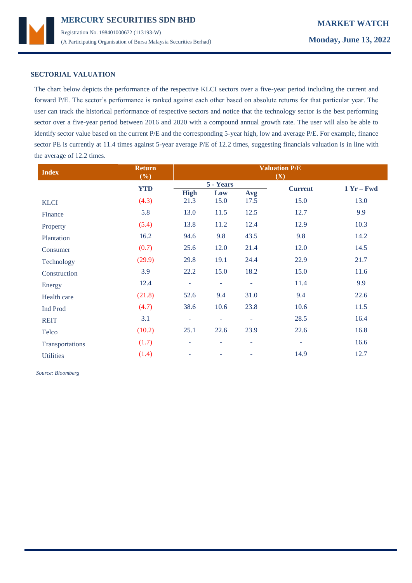

### **SECTORIAL VALUATION**

The chart below depicts the performance of the respective KLCI sectors over a five-year period including the current and forward P/E. The sector's performance is ranked against each other based on absolute returns for that particular year. The user can track the historical performance of respective sectors and notice that the technology sector is the best performing sector over a five-year period between 2016 and 2020 with a compound annual growth rate. The user will also be able to identify sector value based on the current P/E and the corresponding 5-year high, low and average P/E. For example, finance sector PE is currently at 11.4 times against 5-year average P/E of 12.2 times, suggesting financials valuation is in line with the average of 12.2 times.

| <b>Index</b>     | <b>Return</b><br>(%) | <b>Valuation P/E</b><br>(X) |                          |                          |                          |              |
|------------------|----------------------|-----------------------------|--------------------------|--------------------------|--------------------------|--------------|
|                  | <b>YTD</b>           |                             | 5 - Years                |                          | <b>Current</b>           | $1 Yr - Fwd$ |
|                  |                      | <b>High</b>                 | Low                      | Avg                      |                          |              |
| <b>KLCI</b>      | (4.3)                | 21.3                        | 15.0                     | 17.5                     | 15.0                     | 13.0         |
| Finance          | 5.8                  | 13.0                        | 11.5                     | 12.5                     | 12.7                     | 9.9          |
| Property         | (5.4)                | 13.8                        | 11.2                     | 12.4                     | 12.9                     | 10.3         |
| Plantation       | 16.2                 | 94.6                        | 9.8                      | 43.5                     | 9.8                      | 14.2         |
| Consumer         | (0.7)                | 25.6                        | 12.0                     | 21.4                     | 12.0                     | 14.5         |
| Technology       | (29.9)               | 29.8                        | 19.1                     | 24.4                     | 22.9                     | 21.7         |
| Construction     | 3.9                  | 22.2                        | 15.0                     | 18.2                     | 15.0                     | 11.6         |
| Energy           | 12.4                 | $\overline{\phantom{a}}$    | $\equiv$                 | $\blacksquare$           | 11.4                     | 9.9          |
| Health care      | (21.8)               | 52.6                        | 9.4                      | 31.0                     | 9.4                      | 22.6         |
| <b>Ind Prod</b>  | (4.7)                | 38.6                        | 10.6                     | 23.8                     | 10.6                     | 11.5         |
| <b>REIT</b>      | 3.1                  | ÷                           | $\overline{\phantom{a}}$ | $\blacksquare$           | 28.5                     | 16.4         |
| Telco            | (10.2)               | 25.1                        | 22.6                     | 23.9                     | 22.6                     | 16.8         |
| Transportations  | (1.7)                | ÷                           | $\overline{\phantom{a}}$ | $\overline{\phantom{a}}$ | $\overline{\phantom{a}}$ | 16.6         |
| <b>Utilities</b> | (1.4)                | ۰                           |                          |                          | 14.9                     | 12.7         |

 *Source: Bloomberg*